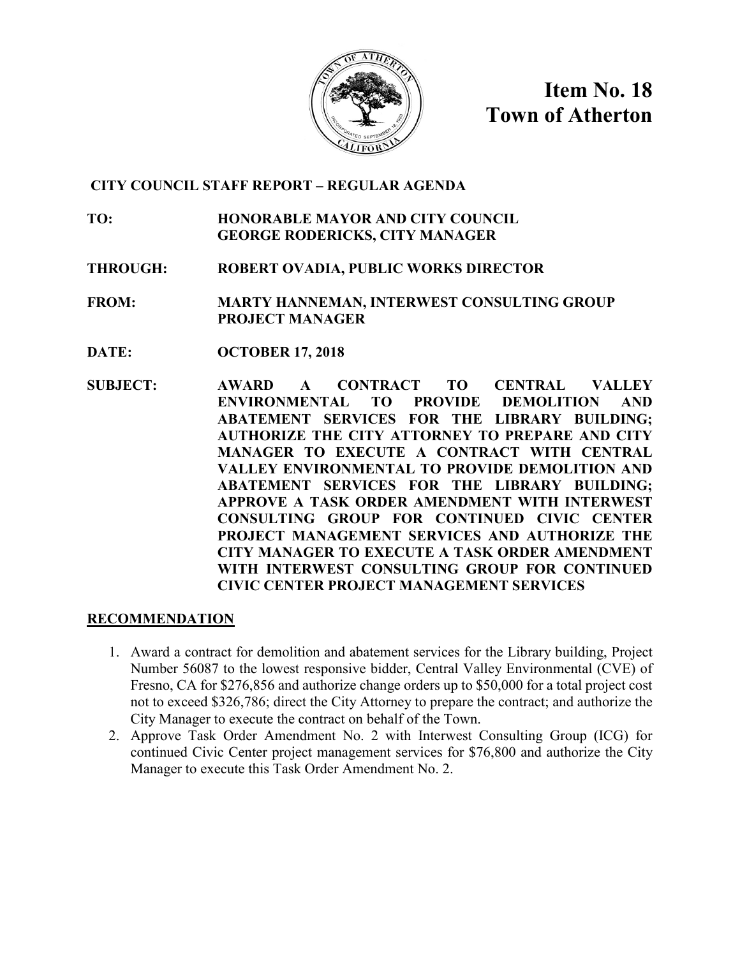

**Item No. 18 Town of Atherton**

#### **CITY COUNCIL STAFF REPORT – REGULAR AGENDA**

- **TO: HONORABLE MAYOR AND CITY COUNCIL GEORGE RODERICKS, CITY MANAGER**
- **THROUGH: ROBERT OVADIA, PUBLIC WORKS DIRECTOR**

**FROM: MARTY HANNEMAN, INTERWEST CONSULTING GROUP PROJECT MANAGER**

- **DATE: OCTOBER 17, 2018**
- **SUBJECT: AWARD A CONTRACT TO CENTRAL VALLEY ENVIRONMENTAL TO PROVIDE DEMOLITION AND ABATEMENT SERVICES FOR THE LIBRARY BUILDING; AUTHORIZE THE CITY ATTORNEY TO PREPARE AND CITY MANAGER TO EXECUTE A CONTRACT WITH CENTRAL VALLEY ENVIRONMENTAL TO PROVIDE DEMOLITION AND ABATEMENT SERVICES FOR THE LIBRARY BUILDING; APPROVE A TASK ORDER AMENDMENT WITH INTERWEST CONSULTING GROUP FOR CONTINUED CIVIC CENTER PROJECT MANAGEMENT SERVICES AND AUTHORIZE THE CITY MANAGER TO EXECUTE A TASK ORDER AMENDMENT WITH INTERWEST CONSULTING GROUP FOR CONTINUED CIVIC CENTER PROJECT MANAGEMENT SERVICES**

#### **RECOMMENDATION**

- 1. Award a contract for demolition and abatement services for the Library building, Project Number 56087 to the lowest responsive bidder, Central Valley Environmental (CVE) of Fresno, CA for \$276,856 and authorize change orders up to \$50,000 for a total project cost not to exceed \$326,786; direct the City Attorney to prepare the contract; and authorize the City Manager to execute the contract on behalf of the Town.
- 2. Approve Task Order Amendment No. 2 with Interwest Consulting Group (ICG) for continued Civic Center project management services for \$76,800 and authorize the City Manager to execute this Task Order Amendment No. 2.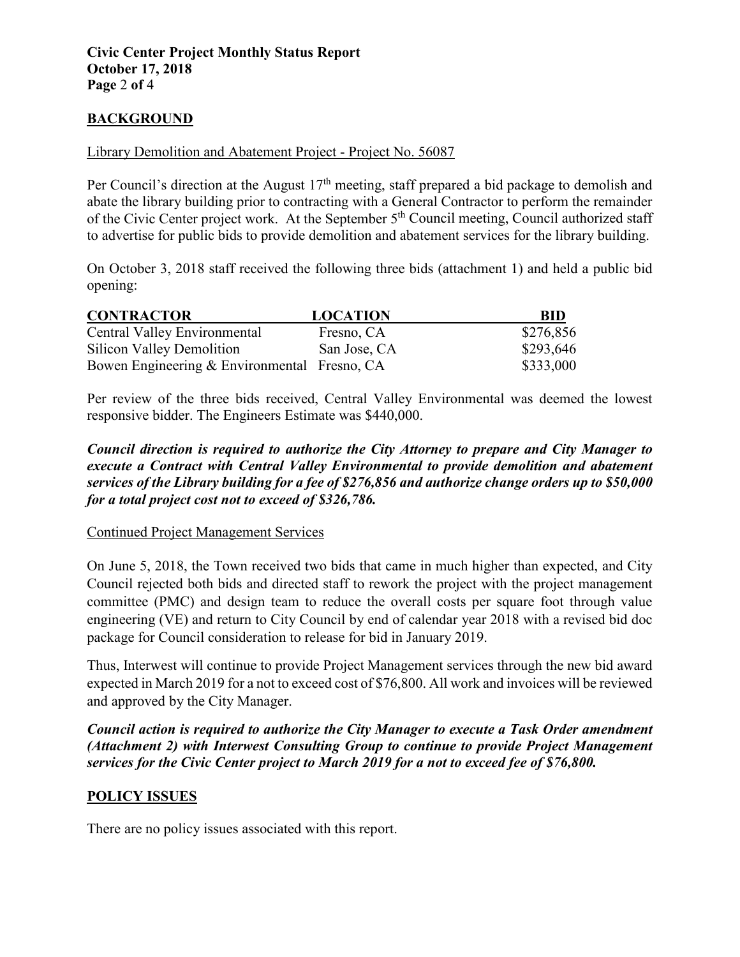#### **BACKGROUND**

#### Library Demolition and Abatement Project - Project No. 56087

Per Council's direction at the August  $17<sup>th</sup>$  meeting, staff prepared a bid package to demolish and abate the library building prior to contracting with a General Contractor to perform the remainder of the Civic Center project work. At the September 5<sup>th</sup> Council meeting, Council authorized staff to advertise for public bids to provide demolition and abatement services for the library building.

On October 3, 2018 staff received the following three bids (attachment 1) and held a public bid opening:

| <b>CONTRACTOR</b>                            | <b>LOCATION</b> | <b>BID</b> |
|----------------------------------------------|-----------------|------------|
| Central Valley Environmental                 | Fresno, CA      | \$276,856  |
| Silicon Valley Demolition                    | San Jose, CA    | \$293,646  |
| Bowen Engineering & Environmental Fresno, CA |                 | \$333,000  |

Per review of the three bids received, Central Valley Environmental was deemed the lowest responsive bidder. The Engineers Estimate was \$440,000.

*Council direction is required to authorize the City Attorney to prepare and City Manager to execute a Contract with Central Valley Environmental to provide demolition and abatement services of the Library building for a fee of \$276,856 and authorize change orders up to \$50,000 for a total project cost not to exceed of \$326,786.*

#### Continued Project Management Services

On June 5, 2018, the Town received two bids that came in much higher than expected, and City Council rejected both bids and directed staff to rework the project with the project management committee (PMC) and design team to reduce the overall costs per square foot through value engineering (VE) and return to City Council by end of calendar year 2018 with a revised bid doc package for Council consideration to release for bid in January 2019.

Thus, Interwest will continue to provide Project Management services through the new bid award expected in March 2019 for a not to exceed cost of \$76,800. All work and invoices will be reviewed and approved by the City Manager.

*Council action is required to authorize the City Manager to execute a Task Order amendment (Attachment 2) with Interwest Consulting Group to continue to provide Project Management services for the Civic Center project to March 2019 for a not to exceed fee of \$76,800.*

#### **POLICY ISSUES**

There are no policy issues associated with this report.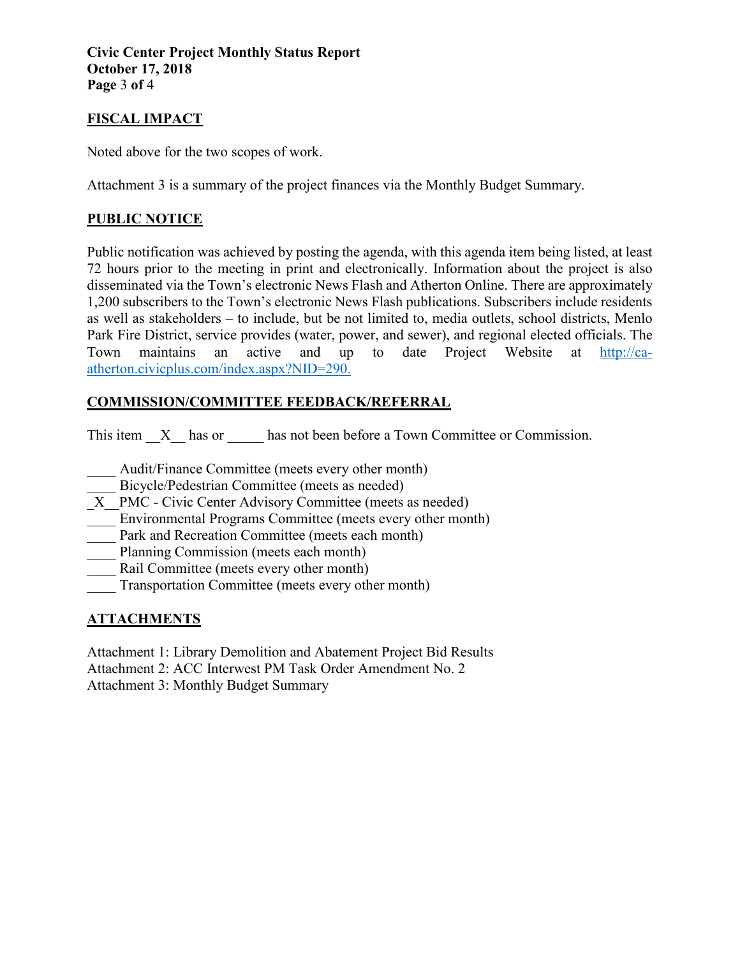**Civic Center Project Monthly Status Report October 17, 2018 Page** 3 **of** 4

## **FISCAL IMPACT**

Noted above for the two scopes of work.

Attachment 3 is a summary of the project finances via the Monthly Budget Summary.

## **PUBLIC NOTICE**

Public notification was achieved by posting the agenda, with this agenda item being listed, at least 72 hours prior to the meeting in print and electronically. Information about the project is also disseminated via the Town's electronic News Flash and Atherton Online. There are approximately 1,200 subscribers to the Town's electronic News Flash publications. Subscribers include residents as well as stakeholders – to include, but be not limited to, media outlets, school districts, Menlo Park Fire District, service provides (water, power, and sewer), and regional elected officials. The Town maintains an active and up to date Project Website at [http://ca](http://ca-atherton.civicplus.com/index.aspx?NID=290)[atherton.civicplus.com/index.aspx?NID=290.](http://ca-atherton.civicplus.com/index.aspx?NID=290)

## **COMMISSION/COMMITTEE FEEDBACK/REFERRAL**

This item  $X$  has or has not been before a Town Committee or Commission.

Audit/Finance Committee (meets every other month)

- Bicycle/Pedestrian Committee (meets as needed)
- X PMC Civic Center Advisory Committee (meets as needed)
- Environmental Programs Committee (meets every other month)
- Park and Recreation Committee (meets each month)
- Planning Commission (meets each month)
- Rail Committee (meets every other month)
- Transportation Committee (meets every other month)

# **ATTACHMENTS**

Attachment 1: Library Demolition and Abatement Project Bid Results Attachment 2: ACC Interwest PM Task Order Amendment No. 2 Attachment 3: Monthly Budget Summary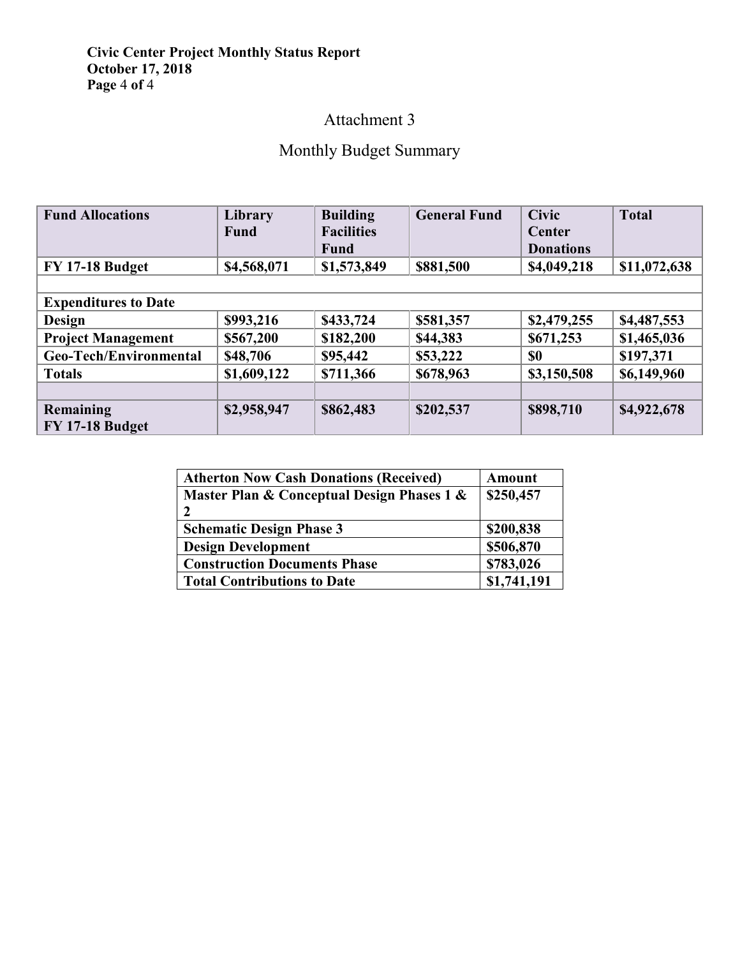#### **Civic Center Project Monthly Status Report October 17, 2018 Page** 4 **of** 4

# Attachment 3

# Monthly Budget Summary

| <b>Fund Allocations</b>     | Library     | <b>Building</b>   | <b>General Fund</b> | <b>Civic</b>     | <b>Total</b> |  |  |  |
|-----------------------------|-------------|-------------------|---------------------|------------------|--------------|--|--|--|
|                             | <b>Fund</b> | <b>Facilities</b> |                     | Center           |              |  |  |  |
|                             |             | Fund              |                     | <b>Donations</b> |              |  |  |  |
| <b>FY 17-18 Budget</b>      | \$4,568,071 | \$1,573,849       | \$881,500           | \$4,049,218      | \$11,072,638 |  |  |  |
|                             |             |                   |                     |                  |              |  |  |  |
| <b>Expenditures to Date</b> |             |                   |                     |                  |              |  |  |  |
| <b>Design</b>               | \$993,216   | \$433,724         | \$581,357           | \$2,479,255      | \$4,487,553  |  |  |  |
| <b>Project Management</b>   | \$567,200   | \$182,200         | \$44,383            | \$671,253        | \$1,465,036  |  |  |  |
| Geo-Tech/Environmental      | \$48,706    | \$95,442          | \$53,222            | \$0              | \$197,371    |  |  |  |
| <b>Totals</b>               | \$1,609,122 | \$711,366         | \$678,963           | \$3,150,508      | \$6,149,960  |  |  |  |
|                             |             |                   |                     |                  |              |  |  |  |
| Remaining                   | \$2,958,947 | \$862,483         | \$202,537           | \$898,710        | \$4,922,678  |  |  |  |
| <b>FY 17-18 Budget</b>      |             |                   |                     |                  |              |  |  |  |

| <b>Atherton Now Cash Donations (Received)</b> | Amount      |  |  |
|-----------------------------------------------|-------------|--|--|
| Master Plan & Conceptual Design Phases 1 &    | \$250,457   |  |  |
|                                               |             |  |  |
| <b>Schematic Design Phase 3</b>               | \$200,838   |  |  |
| <b>Design Development</b>                     | \$506,870   |  |  |
| <b>Construction Documents Phase</b>           | \$783,026   |  |  |
| <b>Total Contributions to Date</b>            | \$1,741,191 |  |  |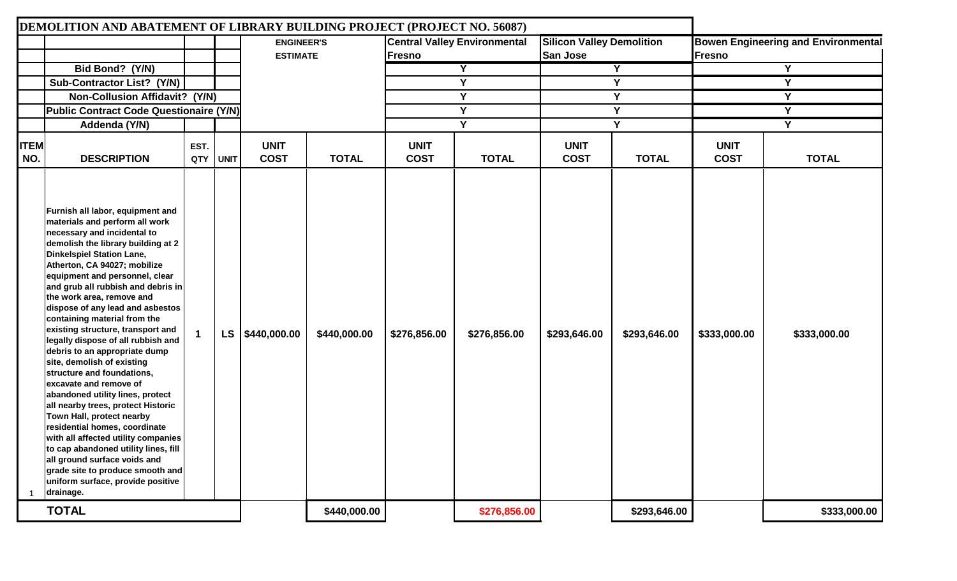|                    | DEMOLITION AND ABATEMENT OF LIBRARY BUILDING PROJECT (PROJECT NO. 56087)                                                                                                                                                                                                                                                                                                                                                                                                                                                                                                                                                                                                                                                                                                                                                                                                                                                     |             |             |                                      |              |                            |                                                                                            |                            |                                                              |                            |              |
|--------------------|------------------------------------------------------------------------------------------------------------------------------------------------------------------------------------------------------------------------------------------------------------------------------------------------------------------------------------------------------------------------------------------------------------------------------------------------------------------------------------------------------------------------------------------------------------------------------------------------------------------------------------------------------------------------------------------------------------------------------------------------------------------------------------------------------------------------------------------------------------------------------------------------------------------------------|-------------|-------------|--------------------------------------|--------------|----------------------------|--------------------------------------------------------------------------------------------|----------------------------|--------------------------------------------------------------|----------------------------|--------------|
|                    |                                                                                                                                                                                                                                                                                                                                                                                                                                                                                                                                                                                                                                                                                                                                                                                                                                                                                                                              |             |             | <b>ENGINEER'S</b><br><b>ESTIMATE</b> |              | <b>Fresno</b>              | <b>Silicon Valley Demolition</b><br><b>Central Valley Environmental</b><br><b>San Jose</b> |                            | <b>Bowen Engineering and Environmental</b><br><b>IFresno</b> |                            |              |
|                    | Bid Bond? (Y/N)                                                                                                                                                                                                                                                                                                                                                                                                                                                                                                                                                                                                                                                                                                                                                                                                                                                                                                              |             |             |                                      |              |                            | $\overline{Y}$                                                                             | Y                          |                                                              | Y                          |              |
|                    | Sub-Contractor List? (Y/N)                                                                                                                                                                                                                                                                                                                                                                                                                                                                                                                                                                                                                                                                                                                                                                                                                                                                                                   |             |             |                                      |              |                            | Y                                                                                          |                            | Υ                                                            |                            | Y            |
|                    | Non-Collusion Affidavit? (Y/N)                                                                                                                                                                                                                                                                                                                                                                                                                                                                                                                                                                                                                                                                                                                                                                                                                                                                                               |             |             |                                      |              |                            | Y                                                                                          | Y                          |                                                              | Y                          |              |
|                    | Public Contract Code Questionaire (Y/N)                                                                                                                                                                                                                                                                                                                                                                                                                                                                                                                                                                                                                                                                                                                                                                                                                                                                                      |             |             |                                      |              |                            | Y                                                                                          | Y                          |                                                              | Y                          |              |
|                    | Addenda (Y/N)                                                                                                                                                                                                                                                                                                                                                                                                                                                                                                                                                                                                                                                                                                                                                                                                                                                                                                                |             |             |                                      |              |                            | Y                                                                                          |                            | Y                                                            | Y                          |              |
| <b>ITEM</b><br>NO. | <b>DESCRIPTION</b>                                                                                                                                                                                                                                                                                                                                                                                                                                                                                                                                                                                                                                                                                                                                                                                                                                                                                                           | EST.<br>QTY | <b>UNIT</b> | <b>UNIT</b><br><b>COST</b>           | <b>TOTAL</b> | <b>UNIT</b><br><b>COST</b> | <b>TOTAL</b>                                                                               | <b>UNIT</b><br><b>COST</b> | <b>TOTAL</b>                                                 | <b>UNIT</b><br><b>COST</b> | <b>TOTAL</b> |
|                    | Furnish all labor, equipment and<br>materials and perform all work<br>necessary and incidental to<br>demolish the library building at 2<br>Dinkelspiel Station Lane,<br>Atherton, CA 94027; mobilize<br>equipment and personnel, clear<br>and grub all rubbish and debris in<br>the work area, remove and<br>dispose of any lead and asbestos<br>containing material from the<br>existing structure, transport and<br>legally dispose of all rubbish and<br>debris to an appropriate dump<br>site, demolish of existing<br>structure and foundations,<br>excavate and remove of<br>abandoned utility lines, protect<br>all nearby trees, protect Historic<br>Town Hall, protect nearby<br>residential homes, coordinate<br>with all affected utility companies<br>to cap abandoned utility lines, fill<br>all ground surface voids and<br>grade site to produce smooth and<br>uniform surface, provide positive<br>drainage. |             | <b>LS</b>   | \$440,000.00                         | \$440,000.00 | \$276,856.00               | \$276,856.00                                                                               | \$293,646.00               | \$293,646.00                                                 | \$333,000.00               | \$333,000.00 |
|                    | <b>TOTAL</b>                                                                                                                                                                                                                                                                                                                                                                                                                                                                                                                                                                                                                                                                                                                                                                                                                                                                                                                 |             |             |                                      | \$440,000.00 |                            | \$276,856.00                                                                               |                            | \$293,646.00                                                 |                            | \$333,000.00 |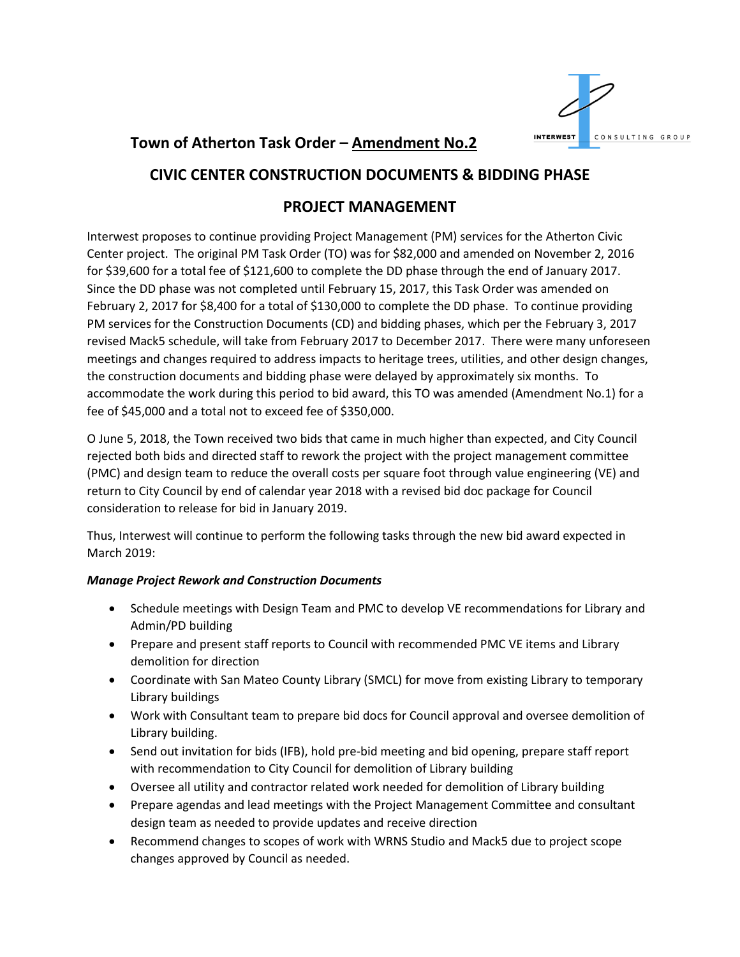

# **Town of Atherton Task Order – Amendment No.2**

# **CIVIC CENTER CONSTRUCTION DOCUMENTS & BIDDING PHASE**

# **PROJECT MANAGEMENT**

Interwest proposes to continue providing Project Management (PM) services for the Atherton Civic Center project. The original PM Task Order (TO) was for \$82,000 and amended on November 2, 2016 for \$39,600 for a total fee of \$121,600 to complete the DD phase through the end of January 2017. Since the DD phase was not completed until February 15, 2017, this Task Order was amended on February 2, 2017 for \$8,400 for a total of \$130,000 to complete the DD phase. To continue providing PM services for the Construction Documents (CD) and bidding phases, which per the February 3, 2017 revised Mack5 schedule, will take from February 2017 to December 2017. There were many unforeseen meetings and changes required to address impacts to heritage trees, utilities, and other design changes, the construction documents and bidding phase were delayed by approximately six months. To accommodate the work during this period to bid award, this TO was amended (Amendment No.1) for a fee of \$45,000 and a total not to exceed fee of \$350,000.

O June 5, 2018, the Town received two bids that came in much higher than expected, and City Council rejected both bids and directed staff to rework the project with the project management committee (PMC) and design team to reduce the overall costs per square foot through value engineering (VE) and return to City Council by end of calendar year 2018 with a revised bid doc package for Council consideration to release for bid in January 2019.

Thus, Interwest will continue to perform the following tasks through the new bid award expected in March 2019:

#### *Manage Project Rework and Construction Documents*

- Schedule meetings with Design Team and PMC to develop VE recommendations for Library and Admin/PD building
- Prepare and present staff reports to Council with recommended PMC VE items and Library demolition for direction
- Coordinate with San Mateo County Library (SMCL) for move from existing Library to temporary Library buildings
- Work with Consultant team to prepare bid docs for Council approval and oversee demolition of Library building.
- Send out invitation for bids (IFB), hold pre-bid meeting and bid opening, prepare staff report with recommendation to City Council for demolition of Library building
- Oversee all utility and contractor related work needed for demolition of Library building
- Prepare agendas and lead meetings with the Project Management Committee and consultant design team as needed to provide updates and receive direction
- Recommend changes to scopes of work with WRNS Studio and Mack5 due to project scope changes approved by Council as needed.